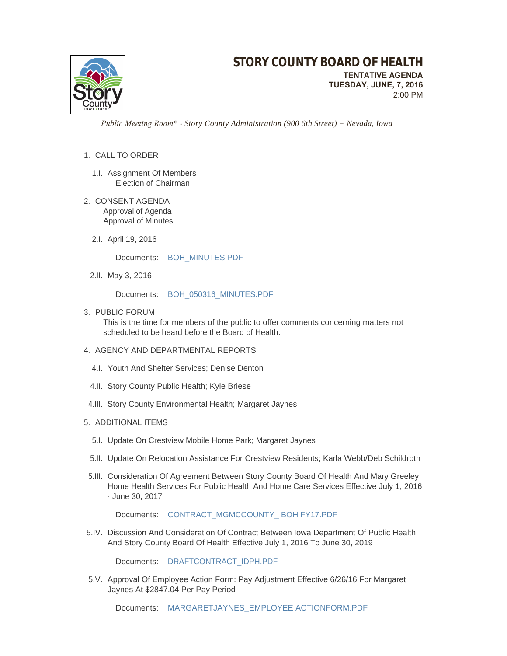

 *Public Meeting Room\* - Story County Administration (900 6th Street) – Nevada, Iowa*

## 1. CALL TO ORDER

- 1.I. Assignment Of Members Election of Chairman
- 2. CONSENT AGENDA Approval of Agenda Approval of Minutes
	- 2.I. April 19, 2016

Documents: [BOH\\_MINUTES.PDF](http://www.storycountyiowa.gov/AgendaCenter/ViewFile/Item/7115?fileID=4836)

2.II. May 3, 2016

Documents: [BOH\\_050316\\_MINUTES.PDF](http://www.storycountyiowa.gov/AgendaCenter/ViewFile/Item/7116?fileID=4837)

3. PUBLIC FORUM

This is the time for members of the public to offer comments concerning matters not scheduled to be heard before the Board of Health.

- 4. AGENCY AND DEPARTMENTAL REPORTS
	- 4.I. Youth And Shelter Services; Denise Denton
	- 4.II. Story County Public Health; Kyle Briese
- 4.III. Story County Environmental Health; Margaret Jaynes
- 5. ADDITIONAL ITEMS
	- 5.I. Update On Crestview Mobile Home Park; Margaret Jaynes
	- 5.II. Update On Relocation Assistance For Crestview Residents; Karla Webb/Deb Schildroth
- 5.III. Consideration Of Agreement Between Story County Board Of Health And Mary Greeley Home Health Services For Public Health And Home Care Services Effective July 1, 2016 - June 30, 2017

Documents: CONTRACT\_MGMCCOUNTY\_BOH FY17.PDF

5.IV. Discussion And Consideration Of Contract Between Iowa Department Of Public Health And Story County Board Of Health Effective July 1, 2016 To June 30, 2019

Documents: [DRAFTCONTRACT\\_IDPH.PDF](http://www.storycountyiowa.gov/AgendaCenter/ViewFile/Item/7118?fileID=4838)

5.V. Approval Of Employee Action Form: Pay Adjustment Effective 6/26/16 For Margaret Jaynes At \$2847.04 Per Pay Period

Documents: [MARGARETJAYNES\\_EMPLOYEE ACTIONFORM.PDF](http://www.storycountyiowa.gov/AgendaCenter/ViewFile/Item/7098?fileID=4829)